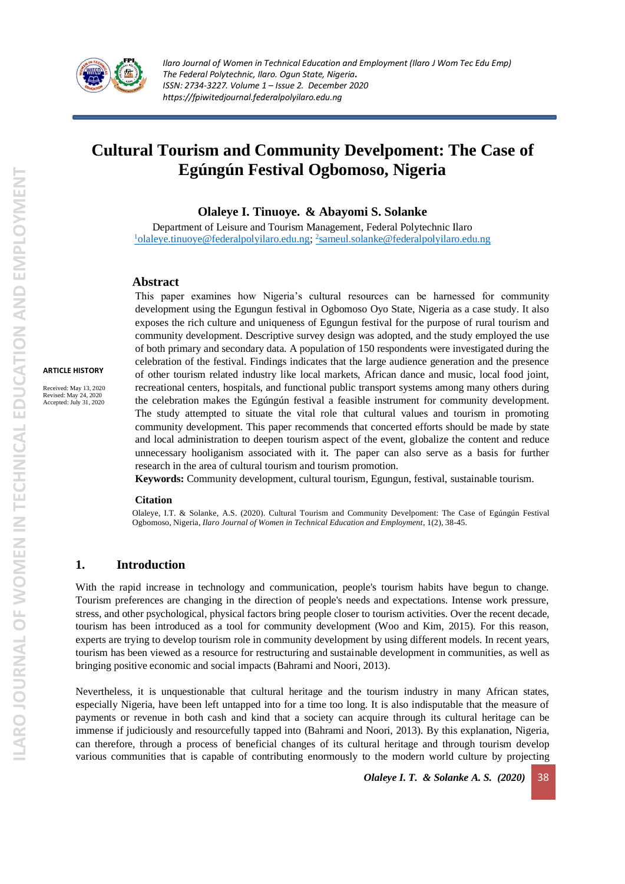

# **Cultural Tourism and Community Develpoment: The Case of Egúngún Festival Ogbomoso, Nigeria**

**Olaleye I. Tinuoye. & Abayomi S. Solanke**

Department of Leisure and Tourism Management, Federal Polytechnic Ilaro <sup>1</sup>[olaleye.tinuoye@federalpolyilaro.edu.ng;](mailto:1olaleye.tinuoye@federalpolyilaro.edu.ng) <sup>2</sup>[sameul.solanke@federalpolyilaro.edu.ng](mailto:2sameul.solanke@federalpolyilaro.edu.ng)

#### **Abstract**

**ARTICLE HISTORY**

Received: May 13, 2020 Revised: May 24, 2020 Accepted: July 31, 2020

This paper examines how Nigeria's cultural resources can be harnessed for community development using the Egungun festival in Ogbomoso Oyo State, Nigeria as a case study. It also exposes the rich culture and uniqueness of Egungun festival for the purpose of rural tourism and community development. Descriptive survey design was adopted, and the study employed the use of both primary and secondary data. A population of 150 respondents were investigated during the celebration of the festival. Findings indicates that the large audience generation and the presence of other tourism related industry like local markets, African dance and music, local food joint, recreational centers, hospitals, and functional public transport systems among many others during the celebration makes the Egúngún festival a feasible instrument for community development. The study attempted to situate the vital role that cultural values and tourism in promoting community development. This paper recommends that concerted efforts should be made by state and local administration to deepen tourism aspect of the event, globalize the content and reduce unnecessary hooliganism associated with it. The paper can also serve as a basis for further research in the area of cultural tourism and tourism promotion.

**Keywords:** Community development, cultural tourism, Egungun, festival, sustainable tourism.

#### **Citation**

Olaleye, I.T. & Solanke, A.S. (2020). Cultural Tourism and Community Develpoment: The Case of Egúngún Festival Ogbomoso, Nigeria, *Ilaro Journal of Women in Technical Education and Employment*, 1(2), 38-45.

#### **1. Introduction**

With the rapid increase in technology and communication, people's tourism habits have begun to change. Tourism preferences are changing in the direction of people's needs and expectations. Intense work pressure, stress, and other psychological, physical factors bring people closer to tourism activities. Over the recent decade, tourism has been introduced as a tool for community development (Woo and Kim, 2015). For this reason, experts are trying to develop tourism role in community development by using different models. In recent years, tourism has been viewed as a resource for restructuring and sustainable development in communities, as well as bringing positive economic and social impacts (Bahrami and Noori, 2013).

Nevertheless, it is unquestionable that cultural heritage and the tourism industry in many African states, especially Nigeria, have been left untapped into for a time too long. It is also indisputable that the measure of payments or revenue in both cash and kind that a society can acquire through its cultural heritage can be immense if judiciously and resourcefully tapped into (Bahrami and Noori, 2013). By this explanation, Nigeria, can therefore, through a process of beneficial changes of its cultural heritage and through tourism develop various communities that is capable of contributing enormously to the modern world culture by projecting

*Olaleye I. T. & Solanke A. S. (2020)* 38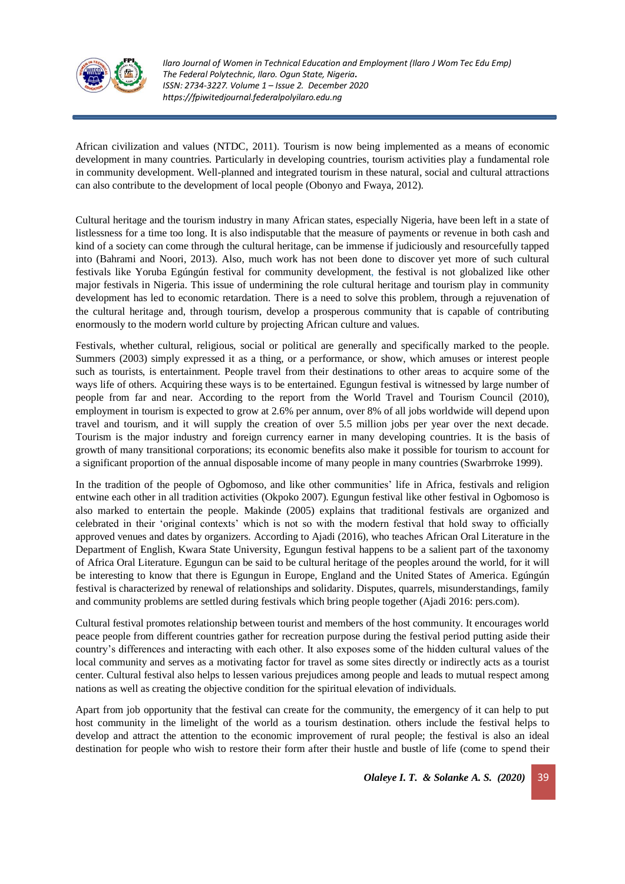

African civilization and values (NTDC, 2011). Tourism is now being implemented as a means of economic development in many countries. Particularly in developing countries, tourism activities play a fundamental role in community development. Well-planned and integrated tourism in these natural, social and cultural attractions can also contribute to the development of local people (Obonyo and Fwaya, 2012).

Cultural heritage and the tourism industry in many African states, especially Nigeria, have been left in a state of listlessness for a time too long. It is also indisputable that the measure of payments or revenue in both cash and kind of a society can come through the cultural heritage, can be immense if judiciously and resourcefully tapped into (Bahrami and Noori, 2013). Also, much work has not been done to discover yet more of such cultural festivals like Yoruba Egúngún festival for community development, the festival is not globalized like other major festivals in Nigeria. This issue of undermining the role cultural heritage and tourism play in community development has led to economic retardation. There is a need to solve this problem, through a rejuvenation of the cultural heritage and, through tourism, develop a prosperous community that is capable of contributing enormously to the modern world culture by projecting African culture and values.

Festivals, whether cultural, religious, social or political are generally and specifically marked to the people. Summers (2003) simply expressed it as a thing, or a performance, or show, which amuses or interest people such as tourists, is entertainment. People travel from their destinations to other areas to acquire some of the ways life of others. Acquiring these ways is to be entertained. Egungun festival is witnessed by large number of people from far and near. According to the report from the World Travel and Tourism Council (2010), employment in tourism is expected to grow at 2.6% per annum, over 8% of all jobs worldwide will depend upon travel and tourism, and it will supply the creation of over 5.5 million jobs per year over the next decade. Tourism is the major industry and foreign currency earner in many developing countries. It is the basis of growth of many transitional corporations; its economic benefits also make it possible for tourism to account for a significant proportion of the annual disposable income of many people in many countries (Swarbrroke 1999).

In the tradition of the people of Ogbomoso, and like other communities' life in Africa, festivals and religion entwine each other in all tradition activities (Okpoko 2007). Egungun festival like other festival in Ogbomoso is also marked to entertain the people. Makinde (2005) explains that traditional festivals are organized and celebrated in their 'original contexts' which is not so with the modern festival that hold sway to officially approved venues and dates by organizers. According to Ajadi (2016), who teaches African Oral Literature in the Department of English, Kwara State University, Egungun festival happens to be a salient part of the taxonomy of Africa Oral Literature. Egungun can be said to be cultural heritage of the peoples around the world, for it will be interesting to know that there is Egungun in Europe, England and the United States of America. Egúngún festival is characterized by renewal of relationships and solidarity. Disputes, quarrels, misunderstandings, family and community problems are settled during festivals which bring people together (Ajadi 2016: pers.com).

Cultural festival promotes relationship between tourist and members of the host community. It encourages world peace people from different countries gather for recreation purpose during the festival period putting aside their country's differences and interacting with each other. It also exposes some of the hidden cultural values of the local community and serves as a motivating factor for travel as some sites directly or indirectly acts as a tourist center. Cultural festival also helps to lessen various prejudices among people and leads to mutual respect among nations as well as creating the objective condition for the spiritual elevation of individuals.

Apart from job opportunity that the festival can create for the community, the emergency of it can help to put host community in the limelight of the world as a tourism destination. others include the festival helps to develop and attract the attention to the economic improvement of rural people; the festival is also an ideal destination for people who wish to restore their form after their hustle and bustle of life (come to spend their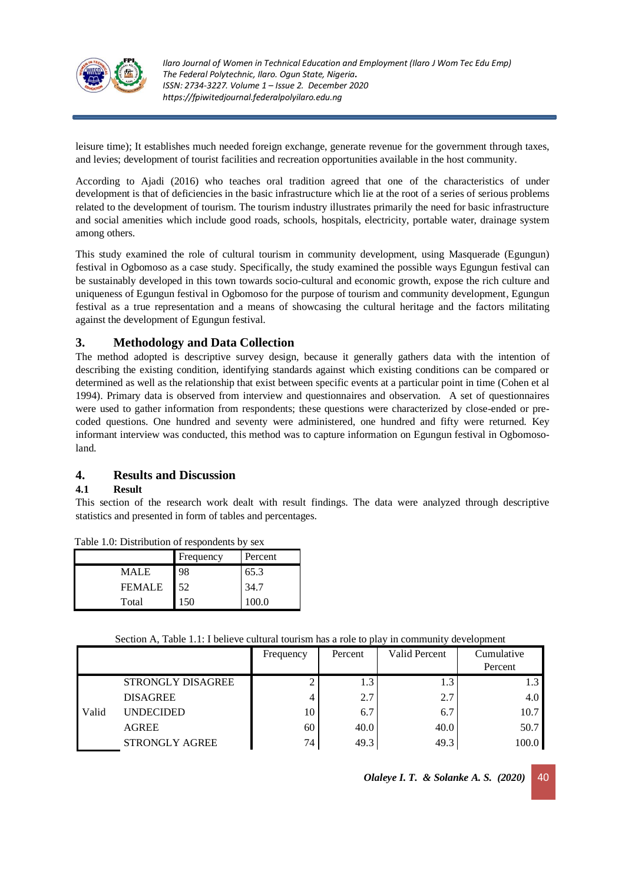

leisure time); It establishes much needed foreign exchange, generate revenue for the government through taxes, and levies; development of tourist facilities and recreation opportunities available in the host community.

According to Ajadi (2016) who teaches oral tradition agreed that one of the characteristics of under development is that of deficiencies in the basic infrastructure which lie at the root of a series of serious problems related to the development of tourism. The tourism industry illustrates primarily the need for basic infrastructure and social amenities which include good roads, schools, hospitals, electricity, portable water, drainage system among others.

This study examined the role of cultural tourism in community development, using Masquerade (Egungun) festival in Ogbomoso as a case study. Specifically, the study examined the possible ways Egungun festival can be sustainably developed in this town towards socio-cultural and economic growth, expose the rich culture and uniqueness of Egungun festival in Ogbomoso for the purpose of tourism and community development, Egungun festival as a true representation and a means of showcasing the cultural heritage and the factors militating against the development of Egungun festival.

# **3. Methodology and Data Collection**

The method adopted is descriptive survey design, because it generally gathers data with the intention of describing the existing condition, identifying standards against which existing conditions can be compared or determined as well as the relationship that exist between specific events at a particular point in time (Cohen et al 1994). Primary data is observed from interview and questionnaires and observation. A set of questionnaires were used to gather information from respondents; these questions were characterized by close-ended or precoded questions. One hundred and seventy were administered, one hundred and fifty were returned. Key informant interview was conducted, this method was to capture information on Egungun festival in Ogbomosoland.

# **4. Results and Discussion**

## **4.1 Result**

This section of the research work dealt with result findings. The data were analyzed through descriptive statistics and presented in form of tables and percentages.

|               | Frequency | Percent |
|---------------|-----------|---------|
| <b>MALE</b>   | 98        | 65.3    |
| <b>FEMALE</b> | 52        | 34.7    |
| Total         | 150       | 100.O   |

Table 1.0: Distribution of respondents by sex

|       |                       | Frequency | Percent | Valid Percent | Cumulative       |
|-------|-----------------------|-----------|---------|---------------|------------------|
|       |                       |           |         |               | Percent          |
|       | STRONGLY DISAGREE     |           | 1.3     |               | 1.3 <sub>l</sub> |
|       | <b>DISAGREE</b>       |           | 2.7     | 2.7           | 4.0              |
| Valid | <b>UNDECIDED</b>      | 10        | 6.7     | 6.7           | 10.7             |
|       | <b>AGREE</b>          | 60        | 40.0    | 40.0          | 50.7             |
|       | <b>STRONGLY AGREE</b> | 74        | 49.3    | 49.3          | 100.0            |

*Olaleye I. T. & Solanke A. S. (2020)* 40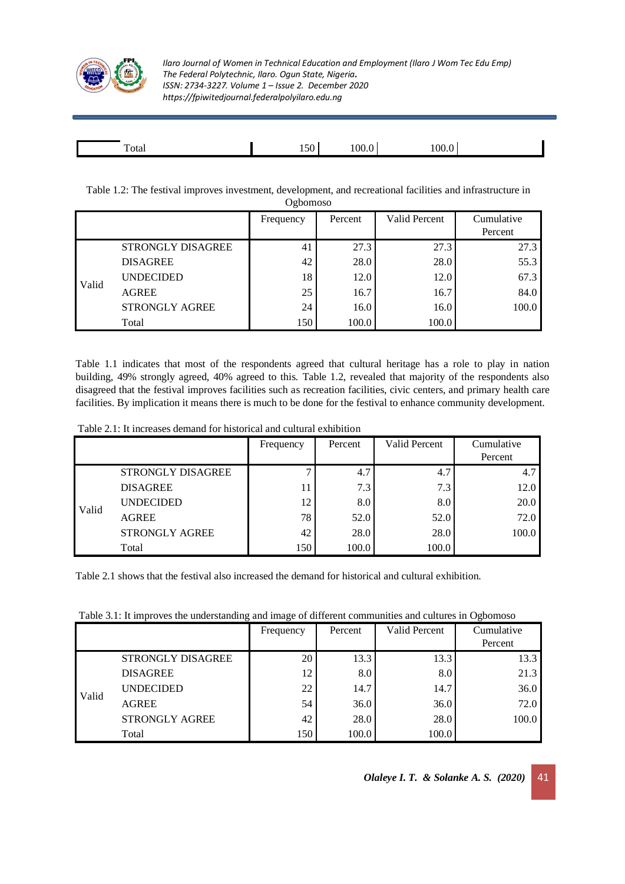

| <u>тва</u><br>Total | -<br>יי<br>$\overline{\phantom{a}}$ | OC) |  |
|---------------------|-------------------------------------|-----|--|
|                     |                                     |     |  |

Table 1.2: The festival improves investment, development, and recreational facilities and infrastructure in Ogbomoso

| $V_{\rm g}$ <sub>U</sub> UIIIUSU |                          |           |         |               |            |  |
|----------------------------------|--------------------------|-----------|---------|---------------|------------|--|
|                                  |                          | Frequency | Percent | Valid Percent | Cumulative |  |
|                                  |                          |           |         |               | Percent    |  |
|                                  | <b>STRONGLY DISAGREE</b> | 41        | 27.3    | 27.3          | 27.3       |  |
| Valid                            | <b>DISAGREE</b>          | 42        | 28.0    | 28.0          | 55.3       |  |
|                                  | <b>UNDECIDED</b>         | 18        | 12.0    | 12.0          | 67.3       |  |
|                                  | <b>AGREE</b>             | 25        | 16.7    | 16.7          | 84.0       |  |
|                                  | <b>STRONGLY AGREE</b>    | 24        | 16.0    | 16.0          | 100.0      |  |
|                                  | Total                    | 150       | 100.0   | 100.0         |            |  |

Table 1.1 indicates that most of the respondents agreed that cultural heritage has a role to play in nation building, 49% strongly agreed, 40% agreed to this. Table 1.2, revealed that majority of the respondents also disagreed that the festival improves facilities such as recreation facilities, civic centers, and primary health care facilities. By implication it means there is much to be done for the festival to enhance community development.

|--|

|       |                       | Frequency | Percent | Valid Percent | Cumulative |
|-------|-----------------------|-----------|---------|---------------|------------|
|       |                       |           |         |               | Percent    |
|       | STRONGLY DISAGREE     |           | 4.7     | 4.7           | 4.7        |
| Valid | <b>DISAGREE</b>       |           | 7.3     | 7.3           | 12.0       |
|       | <b>UNDECIDED</b>      | 12        | 8.0     | 8.0           | 20.0       |
|       | <b>AGREE</b>          | 78        | 52.0    | 52.0          | 72.0       |
|       | <b>STRONGLY AGREE</b> | 42        | 28.0    | 28.0          | 100.0      |
|       | Total                 | 150       | 100.0   | 100.0         |            |

Table 2.1 shows that the festival also increased the demand for historical and cultural exhibition.

Table 3.1: It improves the understanding and image of different communities and cultures in Ogbomoso

|       |                       | Frequency | Percent | Valid Percent | Cumulative<br>Percent |
|-------|-----------------------|-----------|---------|---------------|-----------------------|
| Valid | STRONGLY DISAGREE     | 20        | 13.3    | 13.3          | 13.3                  |
|       | <b>DISAGREE</b>       | 12        | 8.0     | 8.0           | 21.3                  |
|       | <b>UNDECIDED</b>      | 22        | 14.7    | 14.7          | 36.0                  |
|       | <b>AGREE</b>          | 54        | 36.0    | 36.0          | 72.0                  |
|       | <b>STRONGLY AGREE</b> | 42        | 28.0    | 28.0          | 100.0                 |
|       | Total                 | 150       | 100.0   | 100.0         |                       |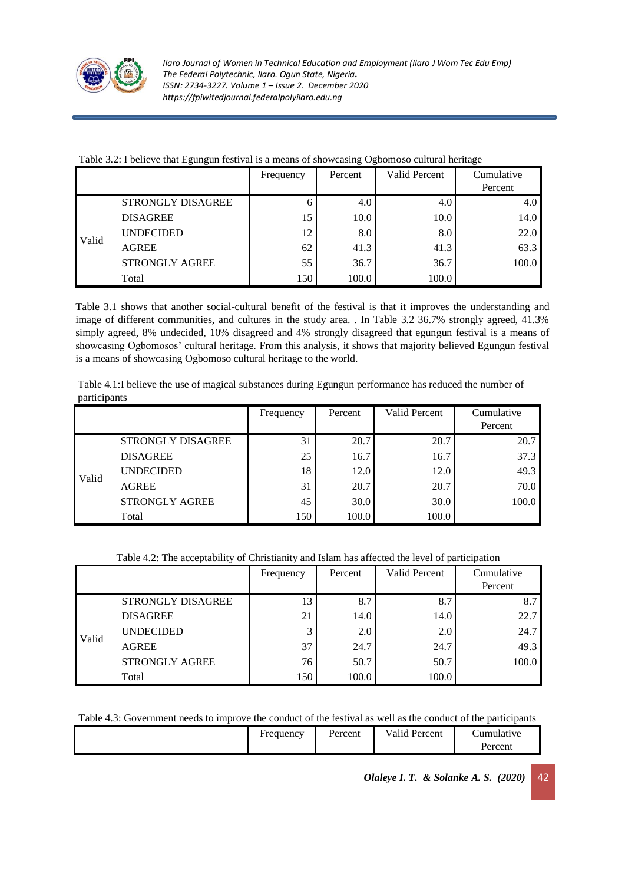

| Table 3.2: I believe that Egungun festival is a means of showcasing Ogbomoso cultural heritage |  |  |  |
|------------------------------------------------------------------------------------------------|--|--|--|
|                                                                                                |  |  |  |

|       |                       | Frequency | Percent | <b>Valid Percent</b> | Cumulative |
|-------|-----------------------|-----------|---------|----------------------|------------|
|       |                       |           |         |                      | Percent    |
|       | STRONGLY DISAGREE     | n         | 4.0     | 4.0                  | 4.0        |
| Valid | <b>DISAGREE</b>       |           | 10.0    | 10.0                 | 14.0       |
|       | <b>UNDECIDED</b>      | 12        | 8.0     | 8.0                  | 22.0       |
|       | <b>AGREE</b>          | 62        | 41.3    | 41.3                 | 63.3       |
|       | <b>STRONGLY AGREE</b> | 55        | 36.7    | 36.7                 | 100.0      |
|       | Total                 | 150       | 100.0   | 100.0                |            |

Table 3.1 shows that another social-cultural benefit of the festival is that it improves the understanding and image of different communities, and cultures in the study area. . In Table 3.2 36.7% strongly agreed, 41.3% simply agreed, 8% undecided, 10% disagreed and 4% strongly disagreed that egungun festival is a means of showcasing Ogbomosos' cultural heritage. From this analysis, it shows that majority believed Egungun festival is a means of showcasing Ogbomoso cultural heritage to the world.

| Table 4.1:I believe the use of magical substances during Egungun performance has reduced the number of |
|--------------------------------------------------------------------------------------------------------|
| participants                                                                                           |

|       |                          | Frequency | Percent | Valid Percent | Cumulative |
|-------|--------------------------|-----------|---------|---------------|------------|
|       |                          |           |         |               | Percent    |
| Valid | <b>STRONGLY DISAGREE</b> | 31        | 20.7    | 20.7          | 20.7       |
|       | <b>DISAGREE</b>          | 25        | 16.7    | 16.7          | 37.3       |
|       | <b>UNDECIDED</b>         | 18        | 12.0    | 12.0          | 49.3       |
|       | <b>AGREE</b>             | 31        | 20.7    | 20.7          | 70.0       |
|       | <b>STRONGLY AGREE</b>    | 45        | 30.0    | 30.0          | 100.0      |
|       | Total                    | 150       | 100.0   | 100.0         |            |

# Table 4.2: The acceptability of Christianity and Islam has affected the level of participation

|       |                          | Frequency | Percent | <b>Valid Percent</b> | Cumulative<br>Percent |
|-------|--------------------------|-----------|---------|----------------------|-----------------------|
| Valid | <b>STRONGLY DISAGREE</b> | 13        | 8.7     | 8.7                  | 8.7                   |
|       | <b>DISAGREE</b>          | 21        | 14.0    | 14.0                 | 22.7                  |
|       | <b>UNDECIDED</b>         |           | 2.0     | 2.0                  | 24.7                  |
|       | <b>AGREE</b>             | 37        | 24.7    | 24.7                 | 49.3                  |
|       | <b>STRONGLY AGREE</b>    | 76        | 50.7    | 50.7                 | 100.0                 |
|       | Total                    | 150       | 100.0   | 100.0                |                       |

Table 4.3: Government needs to improve the conduct of the festival as well as the conduct of the participants

| Frequency | ∍<br>Percent | Valid Percent<br>$\mathbf{v}$ | tumulative. |
|-----------|--------------|-------------------------------|-------------|
|           |              |                               | Percent     |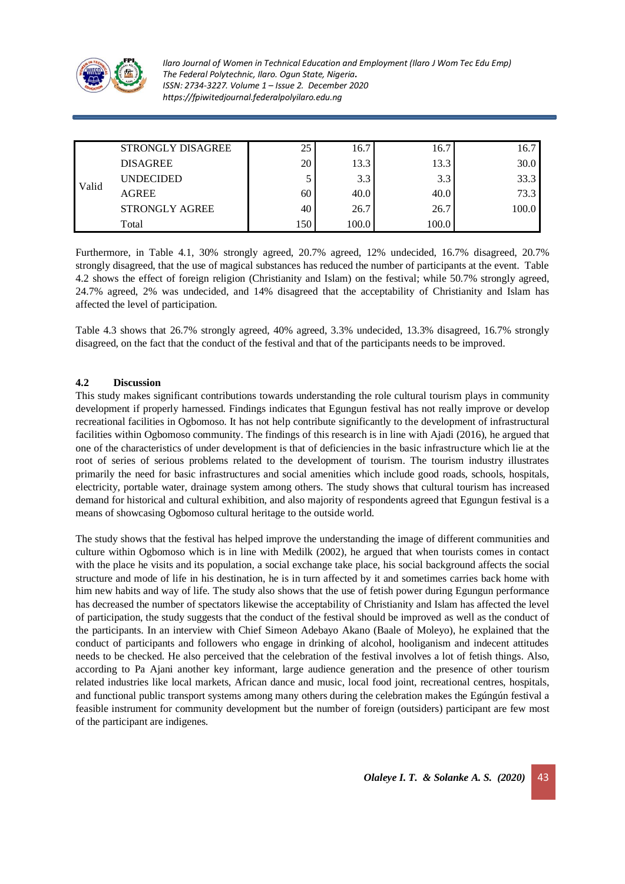

| Valid | STRONGLY DISAGREE     | 25  | 16.7  | 16.7  | 16.7  |
|-------|-----------------------|-----|-------|-------|-------|
|       | <b>DISAGREE</b>       | 20  | 13.3  | 13.3  | 30.0  |
|       | <b>UNDECIDED</b>      |     | 3.3   | 3.3   | 33.3  |
|       | <b>AGREE</b>          | 60  | 40.0  | 40.0  | 73.3  |
|       | <b>STRONGLY AGREE</b> | 40  | 26.7  | 26.7  | 100.0 |
|       | Total                 | 150 | 100.0 | 100.0 |       |

Furthermore, in Table 4.1, 30% strongly agreed, 20.7% agreed, 12% undecided, 16.7% disagreed, 20.7% strongly disagreed, that the use of magical substances has reduced the number of participants at the event. Table 4.2 shows the effect of foreign religion (Christianity and Islam) on the festival; while 50.7% strongly agreed, 24.7% agreed, 2% was undecided, and 14% disagreed that the acceptability of Christianity and Islam has affected the level of participation.

Table 4.3 shows that 26.7% strongly agreed, 40% agreed, 3.3% undecided, 13.3% disagreed, 16.7% strongly disagreed, on the fact that the conduct of the festival and that of the participants needs to be improved.

### **4.2 Discussion**

This study makes significant contributions towards understanding the role cultural tourism plays in community development if properly harnessed. Findings indicates that Egungun festival has not really improve or develop recreational facilities in Ogbomoso. It has not help contribute significantly to the development of infrastructural facilities within Ogbomoso community. The findings of this research is in line with Ajadi (2016), he argued that one of the characteristics of under development is that of deficiencies in the basic infrastructure which lie at the root of series of serious problems related to the development of tourism. The tourism industry illustrates primarily the need for basic infrastructures and social amenities which include good roads, schools, hospitals, electricity, portable water, drainage system among others. The study shows that cultural tourism has increased demand for historical and cultural exhibition, and also majority of respondents agreed that Egungun festival is a means of showcasing Ogbomoso cultural heritage to the outside world.

The study shows that the festival has helped improve the understanding the image of different communities and culture within Ogbomoso which is in line with Medilk (2002), he argued that when tourists comes in contact with the place he visits and its population, a social exchange take place, his social background affects the social structure and mode of life in his destination, he is in turn affected by it and sometimes carries back home with him new habits and way of life. The study also shows that the use of fetish power during Egungun performance has decreased the number of spectators likewise the acceptability of Christianity and Islam has affected the level of participation, the study suggests that the conduct of the festival should be improved as well as the conduct of the participants. In an interview with Chief Simeon Adebayo Akano (Baale of Moleyo), he explained that the conduct of participants and followers who engage in drinking of alcohol, hooliganism and indecent attitudes needs to be checked. He also perceived that the celebration of the festival involves a lot of fetish things. Also, according to Pa Ajani another key informant, large audience generation and the presence of other tourism related industries like local markets, African dance and music, local food joint, recreational centres, hospitals, and functional public transport systems among many others during the celebration makes the Egúngún festival a feasible instrument for community development but the number of foreign (outsiders) participant are few most of the participant are indigenes.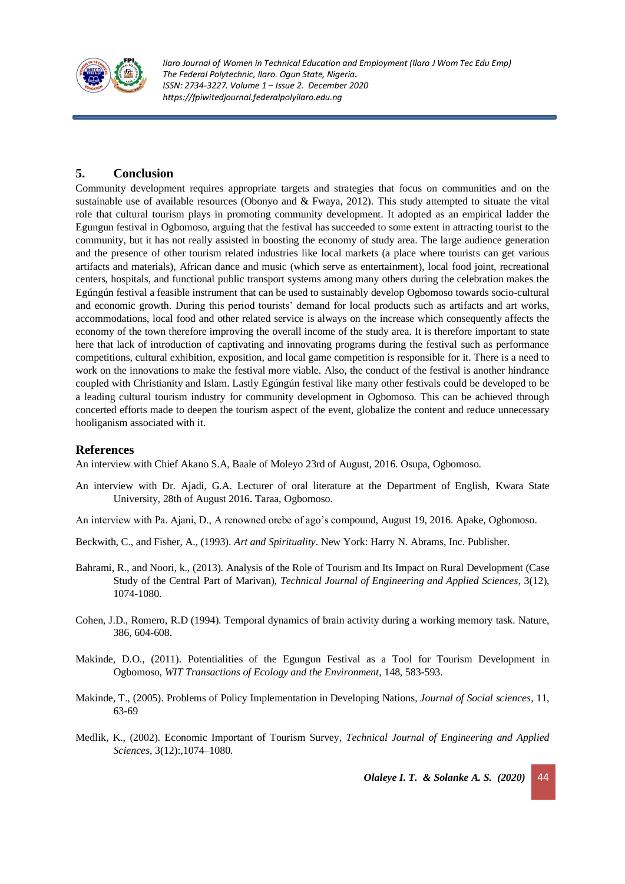

# **5. Conclusion**

Community development requires appropriate targets and strategies that focus on communities and on the sustainable use of available resources (Obonyo and & Fwaya, 2012). This study attempted to situate the vital role that cultural tourism plays in promoting community development. It adopted as an empirical ladder the Egungun festival in Ogbomoso, arguing that the festival has succeeded to some extent in attracting tourist to the community, but it has not really assisted in boosting the economy of study area. The large audience generation and the presence of other tourism related industries like local markets (a place where tourists can get various artifacts and materials), African dance and music (which serve as entertainment), local food joint, recreational centers, hospitals, and functional public transport systems among many others during the celebration makes the Egúngún festival a feasible instrument that can be used to sustainably develop Ogbomoso towards socio-cultural and economic growth. During this period tourists' demand for local products such as artifacts and art works, accommodations, local food and other related service is always on the increase which consequently affects the economy of the town therefore improving the overall income of the study area. It is therefore important to state here that lack of introduction of captivating and innovating programs during the festival such as performance competitions, cultural exhibition, exposition, and local game competition is responsible for it. There is a need to work on the innovations to make the festival more viable. Also, the conduct of the festival is another hindrance coupled with Christianity and Islam. Lastly Egúngún festival like many other festivals could be developed to be a leading cultural tourism industry for community development in Ogbomoso. This can be achieved through concerted efforts made to deepen the tourism aspect of the event, globalize the content and reduce unnecessary hooliganism associated with it.

# **References**

An interview with Chief Akano S.A, Baale of Moleyo 23rd of August, 2016. Osupa, Ogbomoso.

- An interview with Dr. Ajadi, G.A. Lecturer of oral literature at the Department of English, Kwara State University, 28th of August 2016. Taraa, Ogbomoso.
- An interview with Pa. Ajani, D., A renowned orebe of ago's compound, August 19, 2016. Apake, Ogbomoso.
- Beckwith, C., and Fisher, A., (1993). *Art and Spirituality*. New York: Harry N. Abrams, Inc. Publisher.
- Bahrami, R., and Noori, k., (2013). Analysis of the Role of Tourism and Its Impact on Rural Development (Case Study of the Central Part of Marivan), *Technical Journal of Engineering and Applied Sciences*, 3(12), 1074-1080.
- Cohen, J.D., Romero, R.D (1994). Temporal dynamics of brain activity during a working memory task. Nature, 386, 604-608.
- Makinde, D.O., (2011). Potentialities of the Egungun Festival as a Tool for Tourism Development in Ogbomoso, *WIT Transactions of Ecology and the Environment*, 148, 583-593.
- Makinde, T., (2005). Problems of Policy Implementation in Developing Nations, *Journal of Social sciences*, 11, 63-69
- Medlik, K., (2002). Economic Important of Tourism Survey, *Technical Journal of Engineering and Applied Sciences,* 3(12):,1074–1080.

*Olaleye I. T. & Solanke A. S. (2020)*